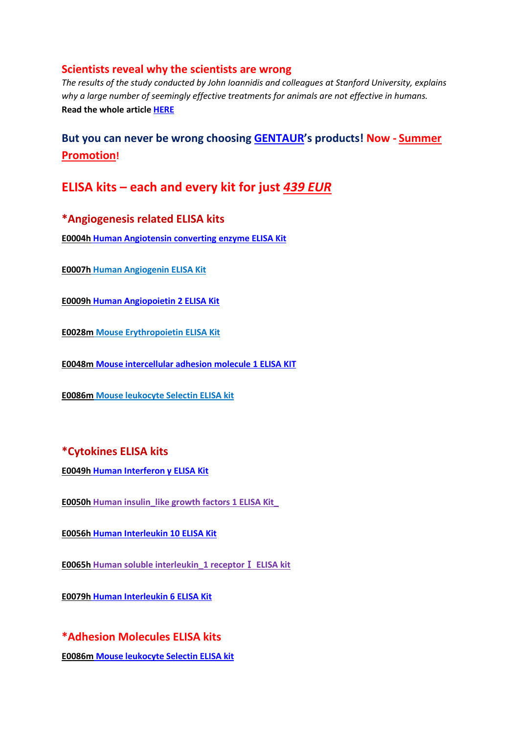### **Scientists reveal why the scientists are wrong**

*The results of the study conducted by John Ioannidis and colleagues at Stanford University, explains why a large number of seemingly effective treatments for animals are not effective in humans.* **Read the whole article [HERE](http://gentaur-worldwide.com/index.php?option=com_k2&view=item&id=237%3Ascientists-reveal-why-the-scientists-are-wrong&Itemid=530)**

# **But you can never be wrong choosing [GENTAUR'](http://www.antibody-antibodies.com/)s products! Now - [Summer](http://www.gentaurpromo.com/)  [Promotion!](http://www.gentaurpromo.com/)**

# **ELISA kits – each and every kit for just** *439 EUR*

## **\*Angiogenesis related ELISA kits**

**E0004h [Human Angiotensin converting enzyme ELISA Kit](http://www.antibody-antibodies.com/product1446856-search-Human_Angiotensin_converting_enzyme_ELISA_Kit.html)** 

**E0007h [Human Angiogenin ELISA Kit](http://www.antibody-antibodies.com/product1446807-search-Human_Angiogenin_ELISA_Kit.html)** 

**E0009h [Human Angiopoietin 2 ELISA Kit](http://www.antibody-antibodies.com/product1446811-search-Human_Angiopoietin_2_ELISA_Kit.html)** 

**E0028m [Mouse Erythropoietin ELISA Kit](http://www.antibody-antibodies.com/product1448403-search-Mouse_Erythropoietin_ELISA_Kit.html)** 

**E0048m [Mouse intercellular adhesion molecule 1 ELISA KIT](http://www.antibody-antibodies.com/product1448288-search-Mouse_intercellular_adhesion_molecule_1_ELISA_KIT.html)** 

**E0086m [Mouse leukocyte Selectin ELISA kit](http://www.antibody-antibodies.com/product1447967-search-Mouse_leukocyte_Selectin_ELISA_kit.html)** 

## **\*Cytokines ELISA kits**

**E0049h [Human Interferon γ ELISA Kit](http://www.antibody-antibodies.com/product1445744-search-Human_Interferon_%CE%B3__ELISA_Kit.html)**

**E0050h [Human insulin\\_like growth factors 1 ELISA Kit\\_](http://www.antibody-antibodies.com/product1445746-search-Human_insulin_like_growth_factors_1_ELISA_Kit_.html)**

**E0056h [Human Interleukin 10 ELISA Kit](http://www.antibody-antibodies.com/product1445749-search-Human_Interleukin_10_ELISA_Kit.html)** 

**E0065h [Human soluble interleukin\\_1 receptor](http://www.antibody-antibodies.com/product1446120-search-Human_soluble_interleukin_1_receptor%E2%85%A0_ELISA_kit.html)**Ⅰ **ELISA kit** 

**E0079h [Human Interleukin 6 ELISA Kit](http://www.antibody-antibodies.com/product1445789-search-Human_Interleukin_6_ELISA_Kit.html)**

# **\*Adhesion Molecules ELISA kits**

**E0086m [Mouse leukocyte Selectin ELISA kit](http://www.antibody-antibodies.com/product1447967-search-Mouse_leukocyte_Selectin_ELISA_kit.html)**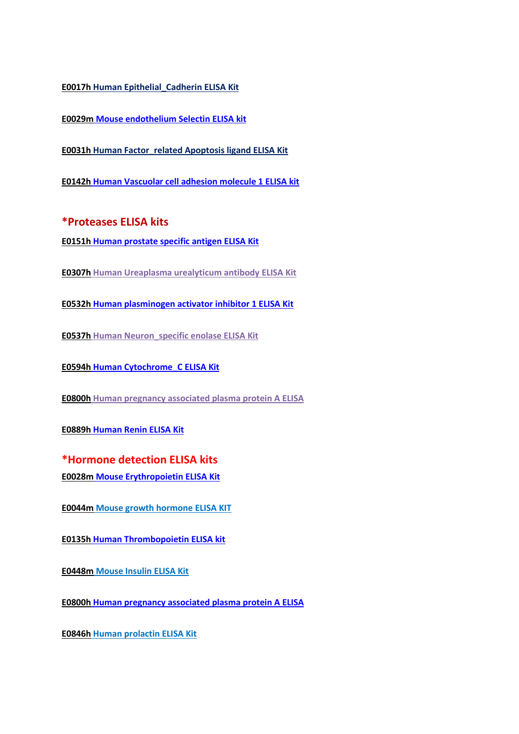**E0017h [Human Epithelial\\_Cadherin ELISA Kit](http://www.antibody-antibodies.com/product1445983-search-Human__Epithelial_Cadherin_ELISA_Kit.html)**

**E0029m [Mouse endothelium Selectin ELISA kit](http://www.antibody-antibodies.com/product1448399-search-Mouse_endothelium_Selectin_ELISA_kit.htmll)**

**E0031h [Human Factor\\_related Apoptosis ligand ELISA Kit](http://www.antibody-antibodies.com/product1446187-search-Human_Factor_related_Apoptosis_ligand_ELISA_Kit.html)**

**E0142h [Human Vascuolar cell adhesion molecule 1 ELISA kit](http://antibody-antibodies.com/product1446582-search-Human_Vascuolar_cell_adhesion_molecule_1_ELISA_kit.html)**

**\*Proteases ELISA kits**

**E0151h [Human prostate specific antigen ELISA Kit](http://antibody-antibodies.com/product1446677-search-Human_prostate_specific_antigen_ELISA_Kit.htmll)** 

**E0307h [Human Ureaplasma urealyticum antibody ELISA Kit](http://antibody-antibodies.com/product1449101-search-Human_Ureaplasma_urealyticum_antibody_ELISA_Kit.html)** 

**E0532h [Human plasminogen activator inhibitor 1 ELISA Kit](http://antibody-antibodies.com/product1446478-search-Human_plasminogen_activator_inhibitor_1_ELISA_Kit.html)** 

**E0537h [Human Neuron\\_specific enolase ELISA Kit](http://antibody-antibodies.com/product1446489-search-Human_Neuron_specific_enolase_ELISA_Kit.html)** 

**E0594h [Human Cytochrome\\_C ELISA Kit](http://antibody-antibodies.com/product1445876-search-Human_Cytochrome_C_ELISA_Kit.html)** 

**E0800h [Human pregnancy associated plasma protein A ELISA](http://antibody-antibodies.com/product1447252-search-Human_pregnancy_associated_plasma_protein_A_ELISA.html)** 

**E0889h [Human Renin ELISA Kit](http://antibody-antibodies.com/product1446421-search-Human_Renin_ELISA_Kit.html)** 

**\*Hormone detection ELISA kits E0028m [Mouse Erythropoietin ELISA Kit](http://www.antibody-antibodies.com/product1448403-search-Mouse_Erythropoietin_ELISA_Kit.html)**

**E0044m [Mouse growth hormone ELISA KIT](http://www.antibody-antibodies.com/product1448365-search-Mouse_growth_hormone_ELISA_KIT.html)**

**E0135h [Human Thrombopoietin ELISA kit](http://antibody-antibodies.com/product1446426-search-Human_Thrombopoietin_ELISA_kit.html)**

**E0448m [Mouse Insulin ELISA Kit](http://antibody-antibodies.com/product1446466-search-Mouse_Insulin_ELISA_Kit.html)**

**E0800h [Human pregnancy associated plasma protein A ELISA](http://antibody-antibodies.com/product1447252-search-Human_pregnancy_associated_plasma_protein_A_ELISA.html)**

**E0846h [Human prolactin ELISA Kit](http://antibody-antibodies.com/product1446414-search-Human_prolactin_ELISA_Kit.html)**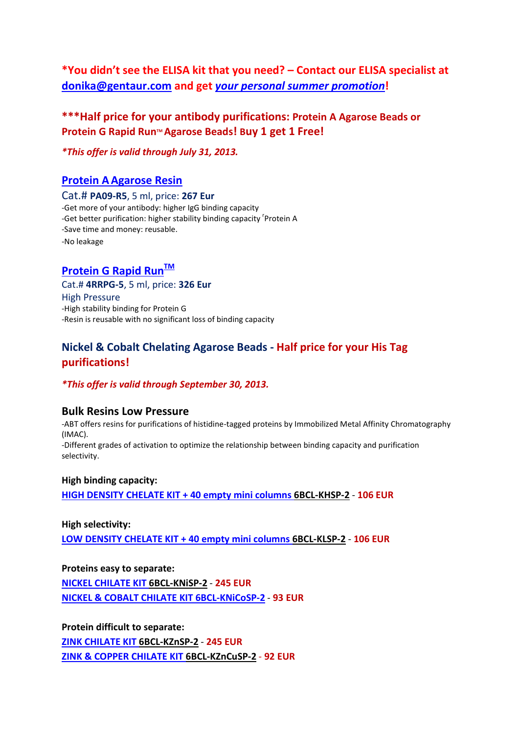**\*You didn't see the ELISA kit that you need? – Contact our ELISA specialist at [donika@gentaur.com](mailto:donika@gentaur.com) and get** *[your personal summer promotion](mailto:donika@gentaur.com)***!**

# **\*\*\*Half price for your antibody purifications: Protein A Agarose Beads or Protein G Rapid Run™ Agarose Beads! Buy 1 get 1 Free!**

*\*This offer is valid through July 31, 2013. <sup>20</sup>1*3

## **[Protein AAgarose Resin](http://antibody-antibodies.com/product1124672-search-PROTEIN_A_Agarose_Resin.html)**

Cat.# **PA09-R5**, 5 ml, price: **267 Eur** -Get more of your antibody: higher IgG binding capacity -Get better purification: higher stability binding capacity <sup>r</sup>Protein A -Save time and money: reusable. -No leakage

## **Protein G Rapid Run™**

Cat.# **4RRPG-5**, 5 ml, price: **326 Eur** High Pressure -High stability binding for Protein G -Resin is reusable with no significant loss of binding capacity

## **Nickel & Cobalt Chelating Agarose Beads - Half price for your His Tag purifications!**

#### *\*This offer is valid through September 30, 2013.*

#### **Bulk Resins Low Pressure**

-ABT offers resins for purifications of histidine-tagged proteins by Immobilized Metal Affinity Chromatography (IMAC). -Different grades of activation to optimize the relationship between binding capacity and purification selectivity.

#### **High binding capacity:**

**[HIGH DENSITY CHELATE KIT + 40 empty mini columns](http://antibody-antibodies.com/product1124656-search-HIGH%20DENSITY%20CHELATE%20KIT%20+%2040%20empty%20mini%20columns.html) 6BCL-KHSP-2** - **106 EUR**

### **High selectivity:**

**[LOW DENSITY CHELATE KIT + 40 empty mini columns](http://antibody-antibodies.com/product1124658-search-LOW%20DENSITY%20CHELATE%20KIT%20+%2040%20empty%20mini%20columns.html) 6BCL-KLSP-2** - **106 EUR**

**Proteins easy to separate: [NICKEL CHILATE KIT 6BCL-KNiSP-2](http://antibody-antibodies.com/product1124648-search-NICKEL%20CHELATE%20KIT%20+%2020%20empty%20mini%20columns.html)** - **245 EUR [NICKEL & COBALT CHILATE KIT 6BCL-KNiCoSP-2](http://antibody-antibodies.com/product1124650-search-NICKEL%20&%20COBALT%20CHELATE%20KIT%20+%2030%20empty%20mini%20columns.html)** - **93 EUR**

**Protein difficult to separate: [ZINK CHILATE KIT 6BCL-KZnSP-2](http://antibody-antibodies.com/product1124652-search-ZINC%20CHELATE%20KIT%20+%2020%20empty%20mini%20columns.html)** - **245 EUR [ZINK & COPPER CHILATE KIT 6BCL-KZnCuSP-2](http://antibody-antibodies.com/product1124654-search-ZINC%20&%20COPPER%20CHELATE%20KIT%20+%2030%20empty%20mini%20columns.html)** - **92 EUR**